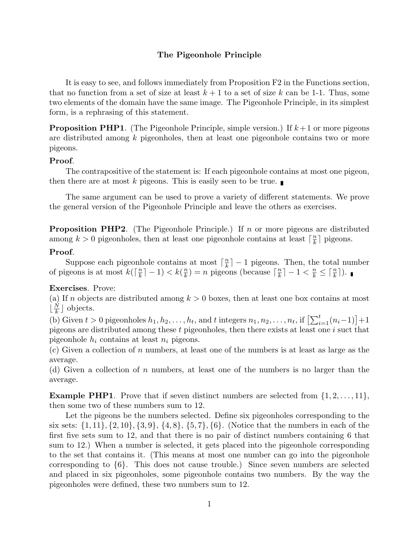## **The Pigeonhole Principle**

It is easy to see, and follows immediately from Proposition F2 in the Functions section, that no function from a set of size at least  $k+1$  to a set of size k can be 1-1. Thus, some two elements of the domain have the same image. The Pigeonhole Principle, in its simplest form, is a rephrasing of this statement.

**Proposition PHP1**. (The Pigeonhole Principle, simple version.) If *k*+1 or more pigeons are distributed among *k* pigeonholes, then at least one pigeonhole contains two or more pigeons.

## **Proof**.

The contrapositive of the statement is: If each pigeonhole contains at most one pigeon, then there are at most  $k$  pigeons. This is easily seen to be true.

The same argument can be used to prove a variety of different statements. We prove the general version of the Pigeonhole Principle and leave the others as exercises.

**Proposition PHP2**. (The Pigeonhole Principle.) If *n* or more pigeons are distributed among  $k > 0$  pigeonholes, then at least one pigeonhole contains at least  $\lceil \frac{n}{k} \rceil$  pigeons.

## **Proof**.

Suppose each pigeonhole contains at most  $\lceil \frac{n}{k} \rceil - 1$  pigeons. Then, the total number of pigeons is at most  $k(\lceil \frac{n}{k} \rceil - 1) < k(\frac{n}{k}) = n$  pigeons (because  $\lceil \frac{n}{k} \rceil - 1 < \frac{n}{k} \leq \lceil \frac{n}{k} \rceil$ ).

## **Exercises**. Prove:

(a) If *n* objects are distributed among  $k > 0$  boxes, then at least one box contains at most  $\lfloor \frac{N}{k} \rfloor$  objects.

(b) Given  $t > 0$  pigeonholes  $h_1, h_2, \ldots, h_t$ , and  $t$  integers  $n_1, n_2, \ldots, n_t$ , if  $\left[\sum_{i=1}^t (n_i-1)\right] + 1$ pigeons are distributed among these *t* pigeonholes, then there exists at least one *i* suct that pigeonhole  $h_i$  contains at least  $n_i$  pigeons.

(c) Given a collection of *n* numbers, at least one of the numbers is at least as large as the average.

(d) Given a collection of *n* numbers, at least one of the numbers is no larger than the average.

**Example PHP1**. Prove that if seven distinct numbers are selected from  $\{1, 2, \ldots, 11\}$ , then some two of these numbers sum to 12.

Let the pigeons be the numbers selected. Define six pigeonholes corresponding to the six sets: {1*,* 11}*,* {2*,* 10}*,* {3*,* 9}, {4*,* 8}, {5*,* 7}*,* {6}. (Notice that the numbers in each of the first five sets sum to 12, and that there is no pair of distinct numbers containing 6 that sum to 12.) When a number is selected, it gets placed into the pigeonhole corresponding to the set that contains it. (This means at most one number can go into the pigeonhole corresponding to  $\{6\}$ . This does not cause trouble.) Since seven numbers are selected and placed in six pigeonholes, some pigeonhole contains two numbers. By the way the pigeonholes were defined, these two numbers sum to 12.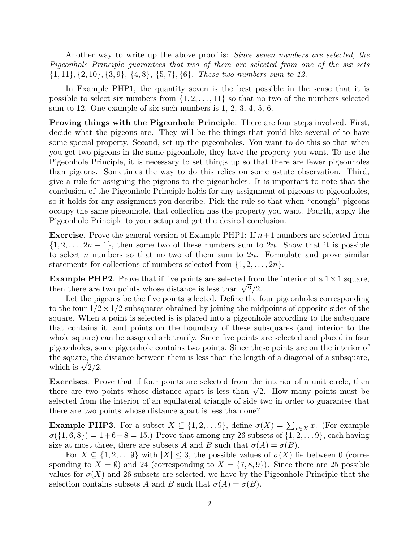Another way to write up the above proof is: Since seven numbers are selected, the Pigeonhole Principle guarantees that two of them are selected from one of the six sets {1*,* 11}*,* {2*,* 10}*,* {3*,* 9}, {4*,* 8}, {5*,* 7}*,* {6}. These two numbers sum to 12.

In Example PHP1, the quantity seven is the best possible in the sense that it is possible to select six numbers from  $\{1, 2, \ldots, 11\}$  so that no two of the numbers selected sum to 12. One example of six such numbers is 1, 2, 3, 4, 5, 6.

**Proving things with the Pigeonhole Principle**. There are four steps involved. First, decide what the pigeons are. They will be the things that you'd like several of to have some special property. Second, set up the pigeonholes. You want to do this so that when you get two pigeons in the same pigeonhole, they have the property you want. To use the Pigeonhole Principle, it is necessary to set things up so that there are fewer pigeonholes than pigeons. Sometimes the way to do this relies on some astute observation. Third, give a rule for assigning the pigeons to the pigeonholes. It is important to note that the conclusion of the Pigeonhole Principle holds for any assignment of pigeons to pigeonholes, so it holds for any assignment you describe. Pick the rule so that when "enough" pigeons occupy the same pigeonhole, that collection has the property you want. Fourth, apply the Pigeonhole Principle to your setup and get the desired conclusion.

**Exercise**. Prove the general version of Example PHP1: If  $n+1$  numbers are selected from  $\{1, 2, \ldots, 2n-1\}$ , then some two of these numbers sum to 2*n*. Show that it is possible to select *n* numbers so that no two of them sum to 2*n*. Formulate and prove similar statements for collections of numbers selected from  $\{1, 2, \ldots, 2n\}$ .

**Example PHP2**. Prove that if five points are selected from the interior of a  $1 \times 1$  square, then there are two points whose distance is less than  $\sqrt{2}/2$ .

Let the pigeons be the five points selected. Define the four pigeonholes corresponding to the four  $1/2 \times 1/2$  subsquares obtained by joining the midpoints of opposite sides of the square. When a point is selected is is placed into a pigeonhole according to the subsquare that contains it, and points on the boundary of these subsquares (and interior to the whole square) can be assigned arbitrarily. Since five points are selected and placed in four pigeonholes, some pigeonhole contains two points. Since these points are on the interior of the square, the distance between them is less than the length of a diagonal of a subsquare, which is  $\sqrt{2}/2$ .

**Exercises**. Prove that if four points are selected from the interior of a unit circle, then there are two points whose distance apart is less than  $\sqrt{2}$ . How many points must be selected from the interior of an equilateral triangle of side two in order to guarantee that there are two points whose distance apart is less than one?

**Example PHP3**. For a subset  $X \subseteq \{1, 2, \ldots, 9\}$ , define  $\sigma(X) = \sum_{x \in X} x$ . (For example  $\sigma(X) = \sigma(X)$  $\sigma({1, 6, 8}) = 1+6+8 = 15.$  Prove that among any 26 subsets of  ${1, 2, \ldots 9}$ , each having size at most three, there are subsets *A* and *B* such that  $\sigma(A) = \sigma(B)$ .

For  $X \subseteq \{1, 2, \ldots 9\}$  with  $|X| \leq 3$ , the possible values of  $\sigma(X)$  lie between 0 (corresponding to  $X = \emptyset$ ) and 24 (corresponding to  $X = \{7, 8, 9\}$ ). Since there are 25 possible values for  $\sigma(X)$  and 26 subsets are selected, we have by the Pigeonhole Principle that the selection contains subsets *A* and *B* such that  $\sigma(A) = \sigma(B)$ .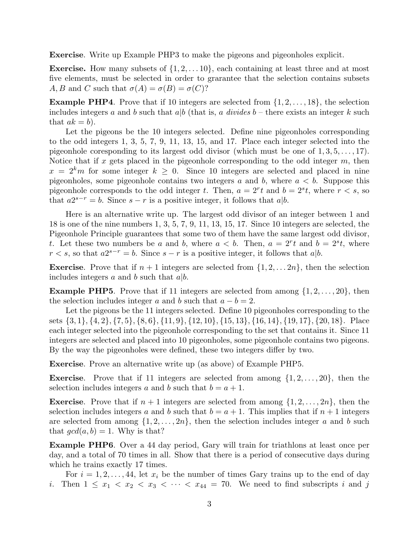**Exercise**. Write up Example PHP3 to make the pigeons and pigeonholes explicit.

**Exercise.** How many subsets of {1*,* 2*,...* 10}, each containing at least three and at most five elements, must be selected in order to grarantee that the selection contains subsets *A, B* and *C* such that  $\sigma(A) = \sigma(B) = \sigma(C)$ ?

**Example PHP4**. Prove that if 10 integers are selected from  $\{1, 2, \ldots, 18\}$ , the selection includes integers *a* and *b* such that  $a|b$  (that is, *a* divides  $b$  – there exists an integer  $k$  such that  $ak = b$ ).

Let the pigeons be the 10 integers selected. Define nine pigeonholes corresponding to the odd integers 1, 3, 5, 7, 9, 11, 13, 15, and 17. Place each integer selected into the pigeonhole coresponding to its largest odd divisor (which must be one of 1*,* 3*,* 5*,...,* 17). Notice that if *x* gets placed in the pigeonhole corresponding to the odd integer *m*, then  $x = 2<sup>k</sup>m$  for some integer  $k \geq 0$ . Since 10 integers are selected and placed in nine pigeonholes, some pigeonhole contains two integers  $a$  and  $b$ , where  $a < b$ . Suppose this pigeonhole corresponds to the odd integer *t*. Then,  $a = 2<sup>r</sup>t$  and  $b = 2<sup>s</sup>t$ , where  $r < s$ , so that  $a2^{s-r} = b$ . Since  $s - r$  is a positive integer, it follows that  $a|b$ .

Here is an alternative write up. The largest odd divisor of an integer between 1 and 18 is one of the nine numbers 1, 3, 5, 7, 9, 11, 13, 15, 17. Since 10 integers are selected, the Pigeonhole Principle guarantees that some two of them have the same largest odd divisor, *t*. Let these two numbers be *a* and *b*, where  $a < b$ . Then,  $a = 2<sup>r</sup>t$  and  $b = 2<sup>s</sup>t$ , where  $r < s$ , so that  $a2^{s-r} = b$ . Since  $s - r$  is a positive integer, it follows that  $a|b$ .

**Exercise**. Prove that if  $n + 1$  integers are selected from  $\{1, 2, \ldots, 2n\}$ , then the selection includes integers *a* and *b* such that *a*|*b*.

**Example PHP5**. Prove that if 11 integers are selected from among  $\{1, 2, \ldots, 20\}$ , then the selection includes integer *a* and *b* such that  $a - b = 2$ .

Let the pigeons be the 11 integers selected. Define 10 pigeonholes corresponding to the sets  $\{3, 1\}, \{4, 2\}, \{7, 5\}, \{8, 6\}, \{11, 9\}, \{12, 10\}, \{15, 13\}, \{16, 14\}, \{19, 17\}, \{20, 18\}.$  Place each integer selected into the pigeonhole corresponding to the set that contains it. Since 11 integers are selected and placed into 10 pigeonholes, some pigeonhole contains two pigeons. By the way the pigeonholes were defined, these two integers differ by two.

**Exercise**. Prove an alternative write up (as above) of Example PHP5.

**Exercise**. Prove that if 11 integers are selected from among  $\{1, 2, \ldots, 20\}$ , then the selection includes integers *a* and *b* such that  $b = a + 1$ .

**Exercise**. Prove that if  $n + 1$  integers are selected from among  $\{1, 2, \ldots, 2n\}$ , then the selection includes integers *a* and *b* such that  $b = a + 1$ . This implies that if  $n + 1$  integers are selected from among  $\{1, 2, \ldots, 2n\}$ , then the selection includes integer *a* and *b* such that  $gcd(a, b) = 1$ . Why is that?

**Example PHP6**. Over a 44 day period, Gary will train for triathlons at least once per day, and a total of 70 times in all. Show that there is a period of consecutive days during which he trains exactly 17 times.

For  $i = 1, 2, \ldots, 44$ , let  $x_i$  be the number of times Gary trains up to the end of day *i*. Then  $1 \leq x_1 < x_2 < x_3 < \cdots < x_{44} = 70$ . We need to find subscripts *i* and *j*